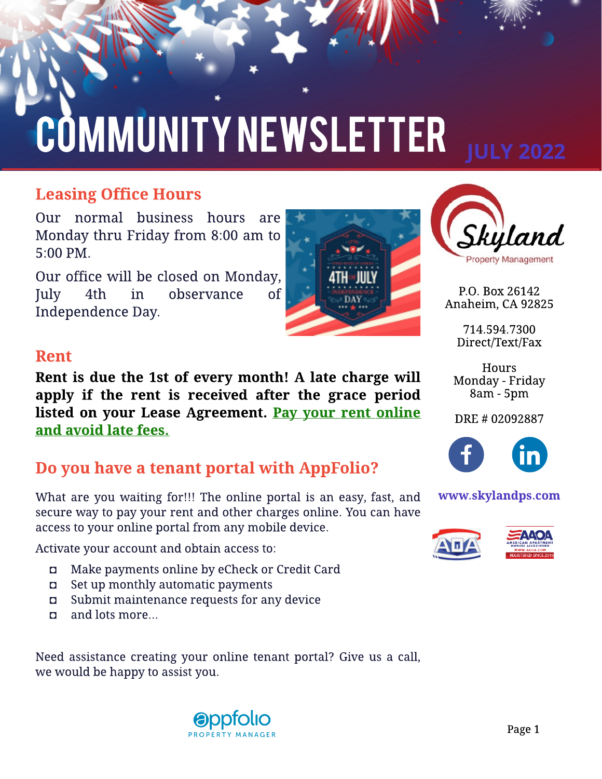# COMMUNITY NEWSLETTER

## **Leasing Office Hours**

Our normal business hours are Monday thru Friday from 8:00 am to 5:00 PM.

Our office will be closed on Monday, July 4th in observance of Independence Day.



## Rent

Rent is due the 1st of every month! A late charge will apply if the rent is received after the grace period listed on your Lease Agreement. Pay your rent online and avoid late fees.

## Do you have a tenant portal with AppFolio?

What are you waiting for!!! The online portal is an easy, fast, and secure way to pay your rent and other charges online. You can have access to your online portal from any mobile device.

Activate your account and obtain access to:

- Make payments online by eCheck or Credit Card
- $\Box$  Set up monthly automatic payments
- Submit maintenance requests for any device
- and lots more...

Need assistance creating your online tenant portal? Give us a call, we would be happy to assist you.





P.O. Box 26142 Anaheim, CA 92825

> 714.594.7300 Direct/Text/Fax

**Hours** Monday - Friday 8am - 5pm

DRE # 02092887



#### www.skylandps.com